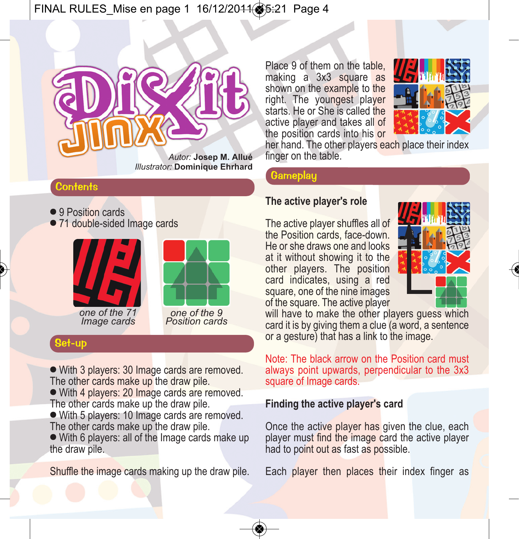# $\mathbf{F} = \mathbf{F} \cdot \mathbf{F} \cdot \mathbf{F}$



*Illustrator:* **Dominique Ehrhard**

## **Contents**

- 9 Position cards
- 71 double-sided Image cards





*Image cards*

*one of the 9 Position cards*

## Set-up

- With 3 players: 30 Image cards are removed. The other cards make up the draw pile.

- With 4 players: 20 Image cards are removed. The other cards make up the draw pile.

- With 5 players: 10 Image cards are removed. The other cards make up the draw pile.

- With 6 players: all of the Image cards make up the draw pile.

Shuffle the image cards making up the draw pile.

Place 9 of them on the table, making a 3x3 square as shown on the example to the right. The youngest player starts. He or She is called the active player and takes all of the position cards into his or



her hand. The other players each place their index finger on the table.

## **Gameplay**

## **The active player's role**

The active player shuffles all of the Position cards, face-down. He or she draws one and looks at it without showing it to the other players. The position card indicates, using a red square, one of the nine images of the square. The active player



will have to make the other players quess which card it is by giving them a clue (a word, a sentence or a gesture) that has a link to the image.

Note: The black arrow on the Position card must always point upwards, perpendicular to the 3x3 square of Image cards.

## **Finding the active player's card**

Once the active player has given the clue, each player must find the image card the active player had to point out as fast as possible.

Each player then places their index finger as